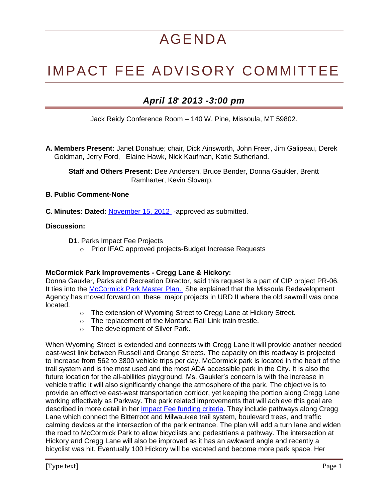# AGENDA

# IMPACT FEE ADVISORY COMMITTEE

# *April 18, 2013 -3:00 pm*

Jack Reidy Conference Room – 140 W. Pine, Missoula, MT 59802.

**A. Members Present:** Janet Donahue; chair, Dick Ainsworth, John Freer, Jim Galipeau, Derek Goldman, Jerry Ford, Elaine Hawk, Nick Kaufman, Katie Sutherland.

 **Staff and Others Present:** Dee Andersen, Bruce Bender, Donna Gaukler, Brentt Ramharter, Kevin Slovarp.

## **B. Public Comment-None**

**C. Minutes: Dated:** [November 15, 2012](http://mt-missoula2.civicplus.com/DocumentCenter/View/22086) -approved as submitted.

# **Discussion:**

- **D1**. Parks Impact Fee Projects
	- o Prior IFAC approved projects-Budget Increase Requests

# **McCormick Park Improvements - Cregg Lane & Hickory:**

Donna Gaukler, Parks and Recreation Director, said this request is a part of CIP project PR-06. It ties into the [McCormick Park Master](http://mt-missoula2.civicplus.com/DocumentCenter/View/22399) Plan. She explained that the Missoula Redevelopment Agency has moved forward on these major projects in URD II where the old sawmill was once located.

- o The extension of Wyoming Street to Cregg Lane at Hickory Street.
- o The replacement of the Montana Rail Link train trestle.
- o The development of Silver Park.

When Wyoming Street is extended and connects with Cregg Lane it will provide another needed east-west link between Russell and Orange Streets. The capacity on this roadway is projected to increase from 562 to 3800 vehicle trips per day. McCormick park is located in the heart of the trail system and is the most used and the most ADA accessible park in the City. It is also the future location for the all-abilities playground. Ms. Gaukler's concern is with the increase in vehicle traffic it will also significantly change the atmosphere of the park. The objective is to provide an effective east-west transportation corridor, yet keeping the portion along Cregg Lane working effectively as Parkway. The park related improvements that will achieve this goal are described in more detail in her Impact Fee [funding criteria.](http://www.ci.missoula.mt.us/DocumentCenter/View/22046) They include pathways along Cregg Lane which connect the Bitterroot and Milwaukee trail system, boulevard trees, and traffic calming devices at the intersection of the park entrance. The plan will add a turn lane and widen the road to McCormick Park to allow bicyclists and pedestrians a pathway. The intersection at Hickory and Cregg Lane will also be improved as it has an awkward angle and recently a bicyclist was hit. Eventually 100 Hickory will be vacated and become more park space. Her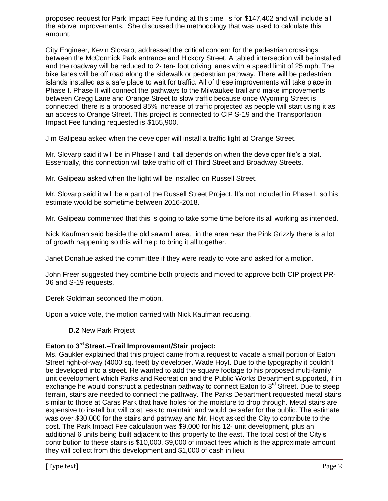proposed request for Park Impact Fee funding at this time is for \$147,402 and will include all the above improvements. She discussed the methodology that was used to calculate this amount.

City Engineer, Kevin Slovarp, addressed the critical concern for the pedestrian crossings between the McCormick Park entrance and Hickory Street. A tabled intersection will be installed and the roadway will be reduced to 2- ten- foot driving lanes with a speed limit of 25 mph. The bike lanes will be off road along the sidewalk or pedestrian pathway. There will be pedestrian islands installed as a safe place to wait for traffic. All of these improvements will take place in Phase I. Phase II will connect the pathways to the Milwaukee trail and make improvements between Cregg Lane and Orange Street to slow traffic because once Wyoming Street is connected there is a proposed 85% increase of traffic projected as people will start using it as an access to Orange Street. This project is connected to CIP S-19 and the Transportation Impact Fee funding requested is \$155,900.

Jim Galipeau asked when the developer will install a traffic light at Orange Street.

Mr. Slovarp said it will be in Phase I and it all depends on when the developer file's a plat. Essentially, this connection will take traffic off of Third Street and Broadway Streets.

Mr. Galipeau asked when the light will be installed on Russell Street.

Mr. Slovarp said it will be a part of the Russell Street Project. It's not included in Phase I, so his estimate would be sometime between 2016-2018.

Mr. Galipeau commented that this is going to take some time before its all working as intended.

Nick Kaufman said beside the old sawmill area, in the area near the Pink Grizzly there is a lot of growth happening so this will help to bring it all together.

Janet Donahue asked the committee if they were ready to vote and asked for a motion.

John Freer suggested they combine both projects and moved to approve both CIP project PR-06 and S-19 requests.

Derek Goldman seconded the motion.

Upon a voice vote, the motion carried with Nick Kaufman recusing.

**D.2** New Park Project

# **Eaton to 3rd Street.–Trail Improvement/Stair project:**

Ms. Gaukler explained that this project came from a request to vacate a small portion of Eaton Street right-of-way (4000 sq. feet) by developer, Wade Hoyt. Due to the typography it couldn't be developed into a street. He wanted to add the square footage to his proposed multi-family unit development which Parks and Recreation and the Public Works Department supported, if in exchange he would construct a pedestrian pathway to connect Eaton to 3<sup>rd</sup> Street. Due to steep terrain, stairs are needed to connect the pathway. The Parks Department requested metal stairs similar to those at Caras Park that have holes for the moisture to drop through. Metal stairs are expensive to install but will cost less to maintain and would be safer for the public. The estimate was over \$30,000 for the stairs and pathway and Mr. Hoyt asked the City to contribute to the cost. The Park Impact Fee calculation was \$9,000 for his 12- unit development, plus an additional 6 units being built adjacent to this property to the east. The total cost of the City's contribution to these stairs is \$10,000. \$9,000 of impact fees which is the approximate amount they will collect from this development and \$1,000 of cash in lieu.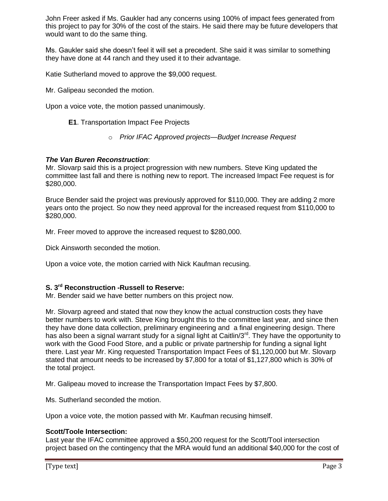John Freer asked if Ms. Gaukler had any concerns using 100% of impact fees generated from this project to pay for 30% of the cost of the stairs. He said there may be future developers that would want to do the same thing.

Ms. Gaukler said she doesn't feel it will set a precedent. She said it was similar to something they have done at 44 ranch and they used it to their advantage.

Katie Sutherland moved to approve the \$9,000 request.

Mr. Galipeau seconded the motion.

Upon a voice vote, the motion passed unanimously.

### **E1**. Transportation Impact Fee Projects

o *Prior IFAC Approved projects—Budget Increase Request*

#### *The Van Buren Reconstruction*:

Mr. Slovarp said this is a project progression with new numbers. Steve King updated the committee last fall and there is nothing new to report. The increased Impact Fee request is for \$280,000.

Bruce Bender said the project was previously approved for \$110,000. They are adding 2 more years onto the project. So now they need approval for the increased request from \$110,000 to \$280,000.

Mr. Freer moved to approve the increased request to \$280,000.

Dick Ainsworth seconded the motion.

Upon a voice vote, the motion carried with Nick Kaufman recusing.

### **S. 3 rd Reconstruction -Russell to Reserve:**

Mr. Bender said we have better numbers on this project now.

Mr. Slovarp agreed and stated that now they know the actual construction costs they have better numbers to work with. Steve King brought this to the committee last year, and since then they have done data collection, preliminary engineering and a final engineering design. There has also been a signal warrant study for a signal light at Caitlin/3<sup>rd</sup>. They have the opportunity to work with the Good Food Store, and a public or private partnership for funding a signal light there. Last year Mr. King requested Transportation Impact Fees of \$1,120,000 but Mr. Slovarp stated that amount needs to be increased by \$7,800 for a total of \$1,127,800 which is 30% of the total project.

Mr. Galipeau moved to increase the Transportation Impact Fees by \$7,800.

Ms. Sutherland seconded the motion.

Upon a voice vote, the motion passed with Mr. Kaufman recusing himself.

## **Scott/Toole Intersection:**

Last year the IFAC committee approved a \$50,200 request for the Scott/Tool intersection project based on the contingency that the MRA would fund an additional \$40,000 for the cost of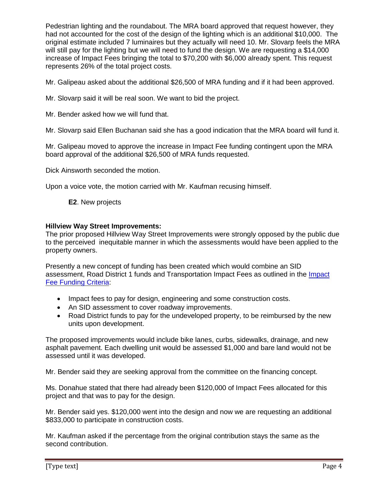Pedestrian lighting and the roundabout. The MRA board approved that request however, they had not accounted for the cost of the design of the lighting which is an additional \$10,000. The original estimate included 7 luminaires but they actually will need 10. Mr. Slovarp feels the MRA will still pay for the lighting but we will need to fund the design. We are requesting a \$14,000 increase of Impact Fees bringing the total to \$70,200 with \$6,000 already spent. This request represents 26% of the total project costs.

Mr. Galipeau asked about the additional \$26,500 of MRA funding and if it had been approved.

Mr. Slovarp said it will be real soon. We want to bid the project.

Mr. Bender asked how we will fund that.

Mr. Slovarp said Ellen Buchanan said she has a good indication that the MRA board will fund it.

Mr. Galipeau moved to approve the increase in Impact Fee funding contingent upon the MRA board approval of the additional \$26,500 of MRA funds requested.

Dick Ainsworth seconded the motion.

Upon a voice vote, the motion carried with Mr. Kaufman recusing himself.

**E2**. New projects

#### **Hillview Way Street Improvements:**

The prior proposed Hillview Way Street Improvements were strongly opposed by the public due to the perceived inequitable manner in which the assessments would have been applied to the property owners.

Presently a new concept of funding has been created which would combine an SID assessment, Road District 1 funds and Transportation Impact Fees as outlined in the [Impact](http://www.ci.missoula.mt.us/DocumentCenter/View/22047)  [Fee Funding Criteria:](http://www.ci.missoula.mt.us/DocumentCenter/View/22047)

- Impact fees to pay for design, engineering and some construction costs.
- An SID assessment to cover roadway improvements.
- Road District funds to pay for the undeveloped property, to be reimbursed by the new units upon development.

The proposed improvements would include bike lanes, curbs, sidewalks, drainage, and new asphalt pavement. Each dwelling unit would be assessed \$1,000 and bare land would not be assessed until it was developed.

Mr. Bender said they are seeking approval from the committee on the financing concept.

Ms. Donahue stated that there had already been \$120,000 of Impact Fees allocated for this project and that was to pay for the design.

Mr. Bender said yes. \$120,000 went into the design and now we are requesting an additional \$833,000 to participate in construction costs.

Mr. Kaufman asked if the percentage from the original contribution stays the same as the second contribution.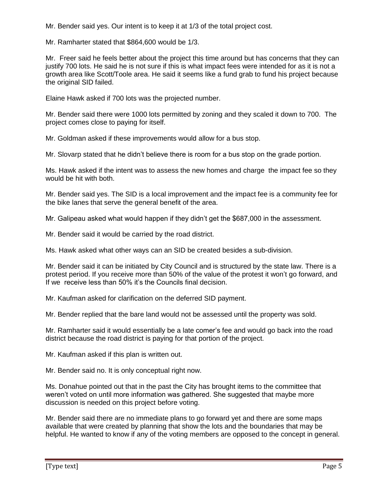Mr. Bender said yes. Our intent is to keep it at 1/3 of the total project cost.

Mr. Ramharter stated that \$864,600 would be 1/3.

Mr. Freer said he feels better about the project this time around but has concerns that they can justify 700 lots. He said he is not sure if this is what impact fees were intended for as it is not a growth area like Scott/Toole area. He said it seems like a fund grab to fund his project because the original SID failed.

Elaine Hawk asked if 700 lots was the projected number.

Mr. Bender said there were 1000 lots permitted by zoning and they scaled it down to 700. The project comes close to paying for itself.

Mr. Goldman asked if these improvements would allow for a bus stop.

Mr. Slovarp stated that he didn't believe there is room for a bus stop on the grade portion.

Ms. Hawk asked if the intent was to assess the new homes and charge the impact fee so they would be hit with both.

Mr. Bender said yes. The SID is a local improvement and the impact fee is a community fee for the bike lanes that serve the general benefit of the area.

Mr. Galipeau asked what would happen if they didn't get the \$687,000 in the assessment.

Mr. Bender said it would be carried by the road district.

Ms. Hawk asked what other ways can an SID be created besides a sub-division.

Mr. Bender said it can be initiated by City Council and is structured by the state law. There is a protest period. If you receive more than 50% of the value of the protest it won't go forward, and If we receive less than 50% it's the Councils final decision.

Mr. Kaufman asked for clarification on the deferred SID payment.

Mr. Bender replied that the bare land would not be assessed until the property was sold.

Mr. Ramharter said it would essentially be a late comer's fee and would go back into the road district because the road district is paying for that portion of the project.

Mr. Kaufman asked if this plan is written out.

Mr. Bender said no. It is only conceptual right now.

Ms. Donahue pointed out that in the past the City has brought items to the committee that weren't voted on until more information was gathered. She suggested that maybe more discussion is needed on this project before voting.

Mr. Bender said there are no immediate plans to go forward yet and there are some maps available that were created by planning that show the lots and the boundaries that may be helpful. He wanted to know if any of the voting members are opposed to the concept in general.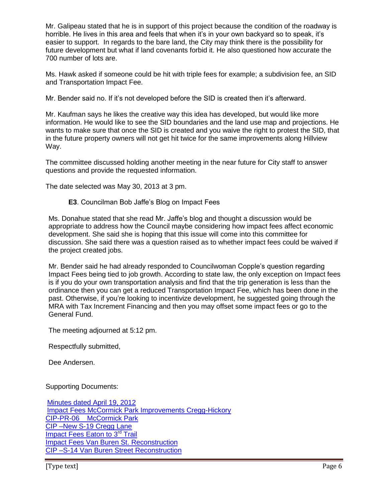Mr. Galipeau stated that he is in support of this project because the condition of the roadway is horrible. He lives in this area and feels that when it's in your own backyard so to speak, it's easier to support. In regards to the bare land, the City may think there is the possibility for future development but what if land covenants forbid it. He also questioned how accurate the 700 number of lots are.

Ms. Hawk asked if someone could be hit with triple fees for example; a subdivision fee, an SID and Transportation Impact Fee.

Mr. Bender said no. If it's not developed before the SID is created then it's afterward.

Mr. Kaufman says he likes the creative way this idea has developed, but would like more information. He would like to see the SID boundaries and the land use map and projections. He wants to make sure that once the SID is created and you waive the right to protest the SID, that in the future property owners will not get hit twice for the same improvements along Hillview Way.

The committee discussed holding another meeting in the near future for City staff to answer questions and provide the requested information.

The date selected was May 30, 2013 at 3 pm.

**E3**. Councilman Bob Jaffe's Blog on Impact Fees

Ms. Donahue stated that she read Mr. Jaffe's blog and thought a discussion would be appropriate to address how the Council maybe considering how impact fees affect economic development. She said she is hoping that this issue will come into this committee for discussion. She said there was a question raised as to whether impact fees could be waived if the project created jobs.

Mr. Bender said he had already responded to Councilwoman Copple's question regarding Impact Fees being tied to job growth. According to state law, the only exception on Impact fees is if you do your own transportation analysis and find that the trip generation is less than the ordinance then you can get a reduced Transportation Impact Fee, which has been done in the past. Otherwise, if you're looking to incentivize development, he suggested going through the MRA with Tax Increment Financing and then you may offset some impact fees or go to the General Fund.

The meeting adjourned at 5:12 pm.

Respectfully submitted,

Dee Andersen.

Supporting Documents:

[Minutes dated April 19, 2012](http://www.ci.missoula.mt.us/archives/95/120419.pdf) [Impact Fees McCormick Park Improvements Cregg-Hickory](http://www.ci.missoula.mt.us/DocumentCenter/View/22046) [CIP-PR-06 McCormick Park](http://mt-missoula2.civicplus.com/DocumentCenter/View/22048) [CIP –New S-19 Cregg Lane](http://www.ci.missoula.mt.us/DocumentCenter/View/22054) [Impact Fees Eaton to 3](http://www.ci.missoula.mt.us/DocumentCenter/View/22045)<sup>rd</sup> Trail [Impact Fees Van Buren St. Reconstruction](http://www.ci.missoula.mt.us/DocumentCenter/View/22058) [CIP –S-14 Van Buren Street Reconstruction](http://www.ci.missoula.mt.us/DocumentCenter/View/22053)